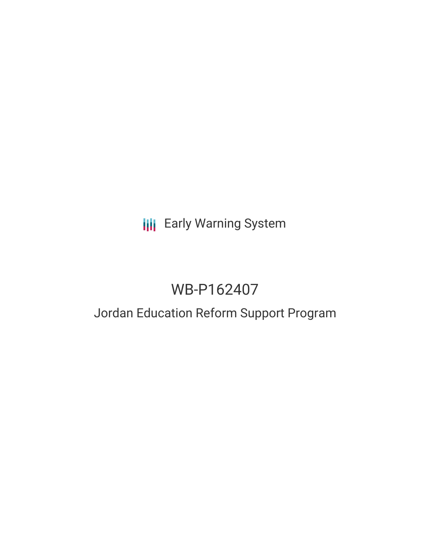# **III** Early Warning System

# WB-P162407

## Jordan Education Reform Support Program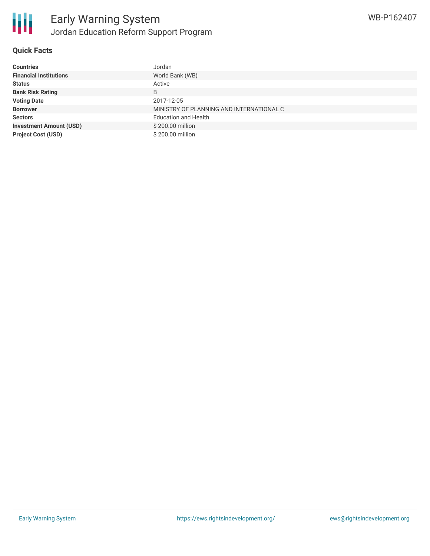

### **Quick Facts**

| <b>Countries</b>               | Jordan                                   |
|--------------------------------|------------------------------------------|
| <b>Financial Institutions</b>  | World Bank (WB)                          |
| <b>Status</b>                  | Active                                   |
| <b>Bank Risk Rating</b>        | B                                        |
| <b>Voting Date</b>             | 2017-12-05                               |
| <b>Borrower</b>                | MINISTRY OF PLANNING AND INTERNATIONAL C |
| <b>Sectors</b>                 | <b>Education and Health</b>              |
| <b>Investment Amount (USD)</b> | \$200.00 million                         |
| <b>Project Cost (USD)</b>      | \$200.00 million                         |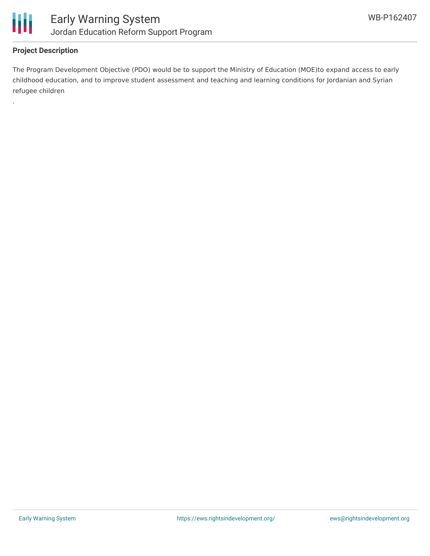

.

### **Project Description**

The Program Development Objective (PDO) would be to support the Ministry of Education (MOE)to expand access to early childhood education, and to improve student assessment and teaching and learning conditions for Jordanian and Syrian refugee children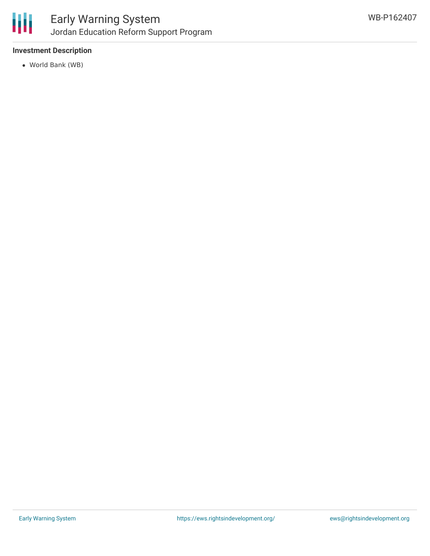

### Early Warning System Jordan Education Reform Support Program

### **Investment Description**

World Bank (WB)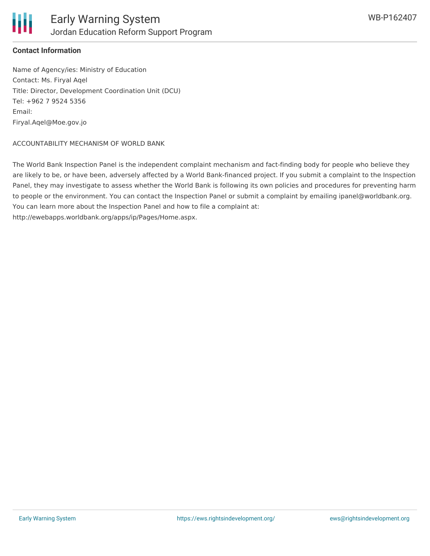

### **Contact Information**

Name of Agency/ies: Ministry of Education Contact: Ms. Firyal Aqel Title: Director, Development Coordination Unit (DCU) Tel: +962 7 9524 5356 Email: Firyal.Aqel@Moe.gov.jo

#### ACCOUNTABILITY MECHANISM OF WORLD BANK

The World Bank Inspection Panel is the independent complaint mechanism and fact-finding body for people who believe they are likely to be, or have been, adversely affected by a World Bank-financed project. If you submit a complaint to the Inspection Panel, they may investigate to assess whether the World Bank is following its own policies and procedures for preventing harm to people or the environment. You can contact the Inspection Panel or submit a complaint by emailing ipanel@worldbank.org. You can learn more about the Inspection Panel and how to file a complaint at: http://ewebapps.worldbank.org/apps/ip/Pages/Home.aspx.